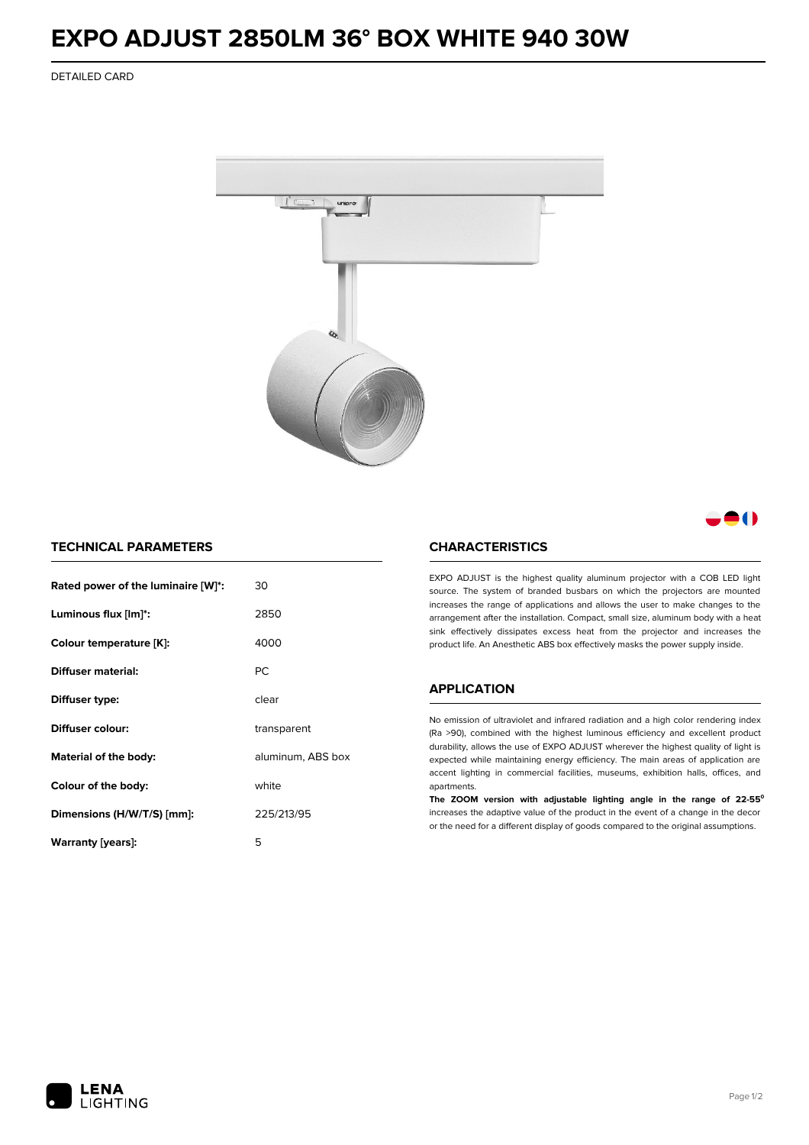# **EXPO ADJUST 2850LM 36° BOX WHITE 940 30W**

DETAILED CARD



# - 1

## **TECHNICAL PARAMETERS**

| Rated power of the luminaire [W]*: | 30                |  |
|------------------------------------|-------------------|--|
| Luminous flux [lm]*:               | 2850              |  |
| Colour temperature [K]:            | 4000              |  |
| Diffuser material:                 | РC                |  |
| Diffuser type:                     | clear             |  |
| Diffuser colour:                   | transparent       |  |
| <b>Material of the body:</b>       | aluminum, ABS box |  |
| Colour of the body:                | white             |  |
| Dimensions (H/W/T/S) [mm]:         | 225/213/95        |  |
| Warranty [years]:                  | 5                 |  |

#### **CHARACTERISTICS**

EXPO ADJUST is the highest quality aluminum projector with a COB LED light source. The system of branded busbars on which the projectors are mounted increases the range of applications and allows the user to make changes to the arrangement after the installation. Compact, small size, aluminum body with a heat sink effectively dissipates excess heat from the projector and increases the product life. An Anesthetic ABS box effectively masks the power supply inside.

### **APPLICATION**

No emission of ultraviolet and infrared radiation and a high color rendering index (Ra >90), combined with the highest luminous efficiency and excellent product durability, allows the use of EXPO ADJUST wherever the highest quality of light is expected while maintaining energy efficiency. The main areas of application are accent lighting in commercial facilities, museums, exhibition halls, offices, and apartments.

**The ZOOM version with adjustable lighting angle in the range of 22-55⁰** increases the adaptive value of the product in the event of a change in the decor or the need for a different display of goods compared to the original assumptions.